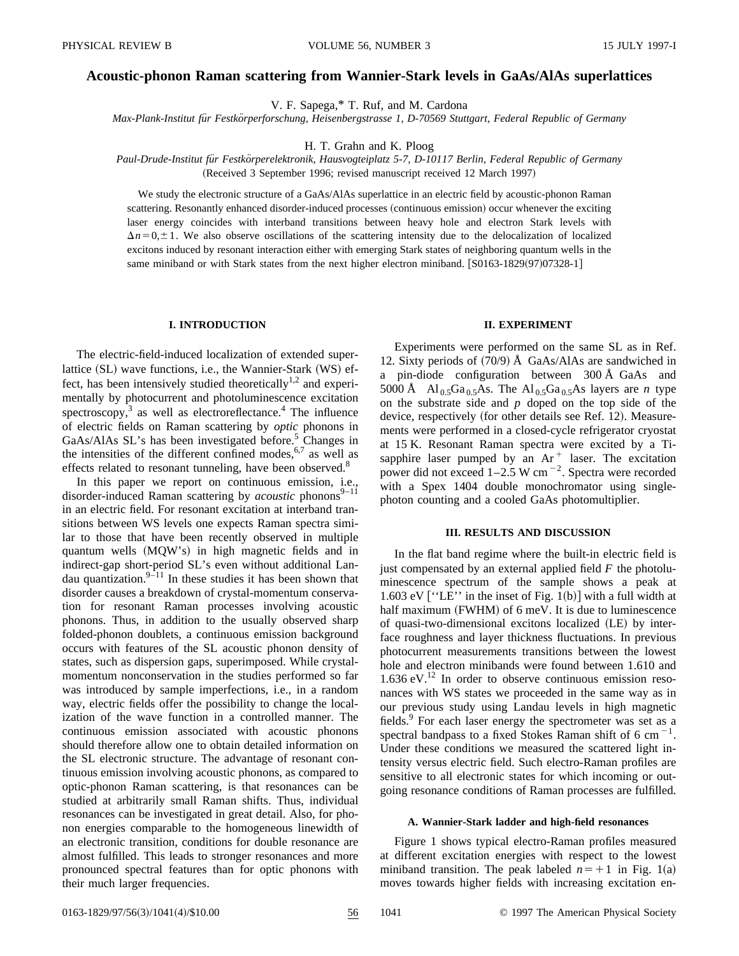# **Acoustic-phonon Raman scattering from Wannier-Stark levels in GaAs/AlAs superlattices**

V. F. Sapega,\* T. Ruf, and M. Cardona

*Max-Plank-Institut fu¨r Festko¨rperforschung, Heisenbergstrasse 1, D-70569 Stuttgart, Federal Republic of Germany*

H. T. Grahn and K. Ploog

*Paul-Drude-Institut fu¨r Festko¨rperelektronik, Hausvogteiplatz 5-7, D-10117 Berlin, Federal Republic of Germany* (Received 3 September 1996; revised manuscript received 12 March 1997)

We study the electronic structure of a GaAs/AlAs superlattice in an electric field by acoustic-phonon Raman scattering. Resonantly enhanced disorder-induced processes (continuous emission) occur whenever the exciting laser energy coincides with interband transitions between heavy hole and electron Stark levels with

 $\Delta n = 0, \pm 1$ . We also observe oscillations of the scattering intensity due to the delocalization of localized excitons induced by resonant interaction either with emerging Stark states of neighboring quantum wells in the same miniband or with Stark states from the next higher electron miniband.  $[$ S0163-1829 $(97)$ 07328-1 $]$ 

## **I. INTRODUCTION**

The electric-field-induced localization of extended superlattice  $(SL)$  wave functions, i.e., the Wannier-Stark  $(WS)$  effect, has been intensively studied theoretically<sup>1,2</sup> and experimentally by photocurrent and photoluminescence excitation spectroscopy, $3$  as well as electroreflectance.<sup>4</sup> The influence of electric fields on Raman scattering by *optic* phonons in GaAs/AlAs SL's has been investigated before.<sup>5</sup> Changes in the intensities of the different confined modes,  $6.7$  as well as effects related to resonant tunneling, have been observed.<sup>8</sup>

In this paper we report on continuous emission, i.e., disorder-induced Raman scattering by *acoustic* phonons<sup>9-11</sup> in an electric field. For resonant excitation at interband transitions between WS levels one expects Raman spectra similar to those that have been recently observed in multiple quantum wells (MQW's) in high magnetic fields and in indirect-gap short-period SL's even without additional Landau quantization. $9-11$  In these studies it has been shown that disorder causes a breakdown of crystal-momentum conservation for resonant Raman processes involving acoustic phonons. Thus, in addition to the usually observed sharp folded-phonon doublets, a continuous emission background occurs with features of the SL acoustic phonon density of states, such as dispersion gaps, superimposed. While crystalmomentum nonconservation in the studies performed so far was introduced by sample imperfections, i.e., in a random way, electric fields offer the possibility to change the localization of the wave function in a controlled manner. The continuous emission associated with acoustic phonons should therefore allow one to obtain detailed information on the SL electronic structure. The advantage of resonant continuous emission involving acoustic phonons, as compared to optic-phonon Raman scattering, is that resonances can be studied at arbitrarily small Raman shifts. Thus, individual resonances can be investigated in great detail. Also, for phonon energies comparable to the homogeneous linewidth of an electronic transition, conditions for double resonance are almost fulfilled. This leads to stronger resonances and more pronounced spectral features than for optic phonons with their much larger frequencies.

# **II. EXPERIMENT**

Experiments were performed on the same SL as in Ref. 12. Sixty periods of  $(70/9)$  Å GaAs/AlAs are sandwiched in a pin-diode configuration between 300 Å GaAs and 5000 Å  $\text{Al}_{0.5}Ga_{0.5}As$ . The  $\text{Al}_{0.5}Ga_{0.5}As$  layers are *n* type on the substrate side and *p* doped on the top side of the device, respectively (for other details see Ref. 12). Measurements were performed in a closed-cycle refrigerator cryostat at 15 K. Resonant Raman spectra were excited by a Tisapphire laser pumped by an  $Ar<sup>+</sup>$  laser. The excitation power did not exceed  $1-2.5$  W cm<sup> $-2$ </sup>. Spectra were recorded with a Spex 1404 double monochromator using singlephoton counting and a cooled GaAs photomultiplier.

## **III. RESULTS AND DISCUSSION**

In the flat band regime where the built-in electric field is just compensated by an external applied field *F* the photoluminescence spectrum of the sample shows a peak at 1.603 eV  $[''LE'']$  in the inset of Fig. 1(b)] with a full width at half maximum (FWHM) of 6 meV. It is due to luminescence of quasi-two-dimensional excitons localized  $(LE)$  by interface roughness and layer thickness fluctuations. In previous photocurrent measurements transitions between the lowest hole and electron minibands were found between 1.610 and  $1.636$  eV.<sup>12</sup> In order to observe continuous emission resonances with WS states we proceeded in the same way as in our previous study using Landau levels in high magnetic fields.<sup>9</sup> For each laser energy the spectrometer was set as a spectral bandpass to a fixed Stokes Raman shift of 6 cm<sup> $-1$ </sup>. Under these conditions we measured the scattered light intensity versus electric field. Such electro-Raman profiles are sensitive to all electronic states for which incoming or outgoing resonance conditions of Raman processes are fulfilled.

#### **A. Wannier-Stark ladder and high-field resonances**

Figure 1 shows typical electro-Raman profiles measured at different excitation energies with respect to the lowest miniband transition. The peak labeled  $n=+1$  in Fig. 1(a) moves towards higher fields with increasing excitation en-

0163-1829/97/56(3)/1041(4)/\$10.00 56 1041 © 1997 The American Physical Society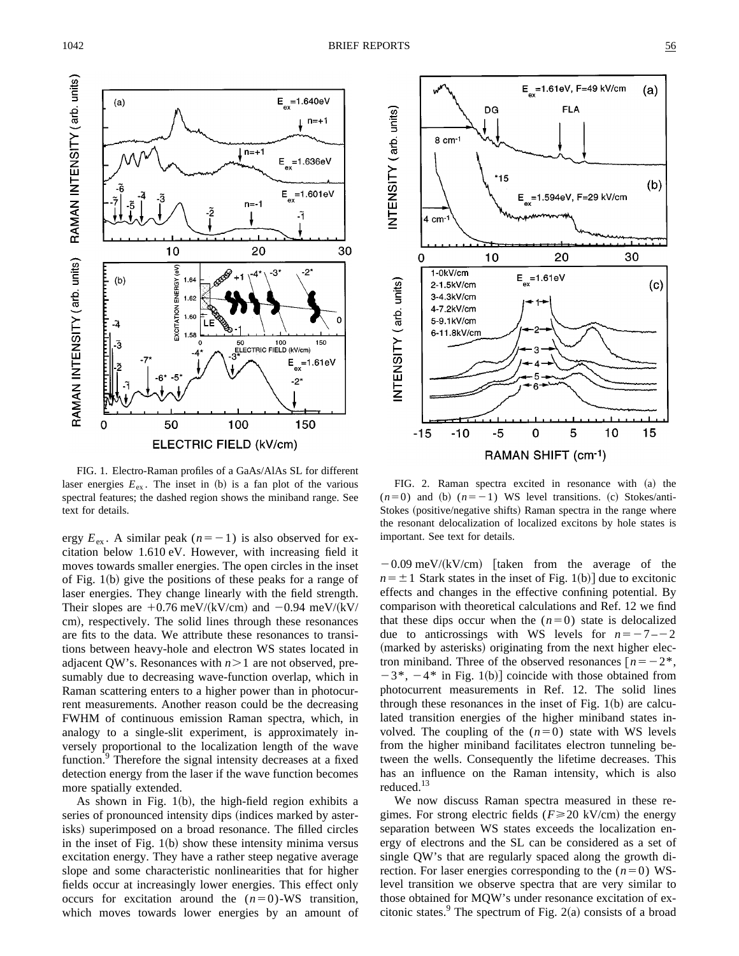

FIG. 1. Electro-Raman profiles of a GaAs/AlAs SL for different laser energies  $E_{ex}$ . The inset in (b) is a fan plot of the various spectral features; the dashed region shows the miniband range. See text for details.

ergy  $E_{\text{ex}}$ . A similar peak ( $n=-1$ ) is also observed for excitation below 1.610 eV. However, with increasing field it moves towards smaller energies. The open circles in the inset of Fig.  $1(b)$  give the positions of these peaks for a range of laser energies. They change linearly with the field strength. Their slopes are  $+0.76$  meV/(kV/cm) and  $-0.94$  meV/(kV/ cm), respectively. The solid lines through these resonances are fits to the data. We attribute these resonances to transitions between heavy-hole and electron WS states located in adjacent QW's. Resonances with  $n>1$  are not observed, presumably due to decreasing wave-function overlap, which in Raman scattering enters to a higher power than in photocurrent measurements. Another reason could be the decreasing FWHM of continuous emission Raman spectra, which, in analogy to a single-slit experiment, is approximately inversely proportional to the localization length of the wave function.<sup>9</sup> Therefore the signal intensity decreases at a fixed detection energy from the laser if the wave function becomes more spatially extended.

As shown in Fig.  $1(b)$ , the high-field region exhibits a series of pronounced intensity dips (indices marked by asterisks) superimposed on a broad resonance. The filled circles in the inset of Fig.  $1(b)$  show these intensity minima versus excitation energy. They have a rather steep negative average slope and some characteristic nonlinearities that for higher fields occur at increasingly lower energies. This effect only occurs for excitation around the  $(n=0)$ -WS transition, which moves towards lower energies by an amount of



FIG. 2. Raman spectra excited in resonance with  $(a)$  the  $(n=0)$  and (b)  $(n=-1)$  WS level transitions. (c) Stokes/anti-Stokes (positive/negative shifts) Raman spectra in the range where the resonant delocalization of localized excitons by hole states is important. See text for details.

 $-0.09$  meV/(kV/cm) [taken from the average of the  $n = \pm 1$  Stark states in the inset of Fig. 1(b)] due to excitonic effects and changes in the effective confining potential. By comparison with theoretical calculations and Ref. 12 we find that these dips occur when the  $(n=0)$  state is delocalized due to anticrossings with WS levels for  $n=-7-2$ (marked by asterisks) originating from the next higher electron miniband. Three of the observed resonances  $\lceil n = -2^* \rceil$ ,  $-3^*$ ,  $-4^*$  in Fig. 1(b)] coincide with those obtained from photocurrent measurements in Ref. 12. The solid lines through these resonances in the inset of Fig.  $1(b)$  are calculated transition energies of the higher miniband states involved. The coupling of the  $(n=0)$  state with WS levels from the higher miniband facilitates electron tunneling between the wells. Consequently the lifetime decreases. This has an influence on the Raman intensity, which is also reduced.<sup>13</sup>

We now discuss Raman spectra measured in these regimes. For strong electric fields ( $F \ge 20$  kV/cm) the energy separation between WS states exceeds the localization energy of electrons and the SL can be considered as a set of single QW's that are regularly spaced along the growth direction. For laser energies corresponding to the  $(n=0)$  WSlevel transition we observe spectra that are very similar to those obtained for MQW's under resonance excitation of excitonic states.<sup>9</sup> The spectrum of Fig. 2(a) consists of a broad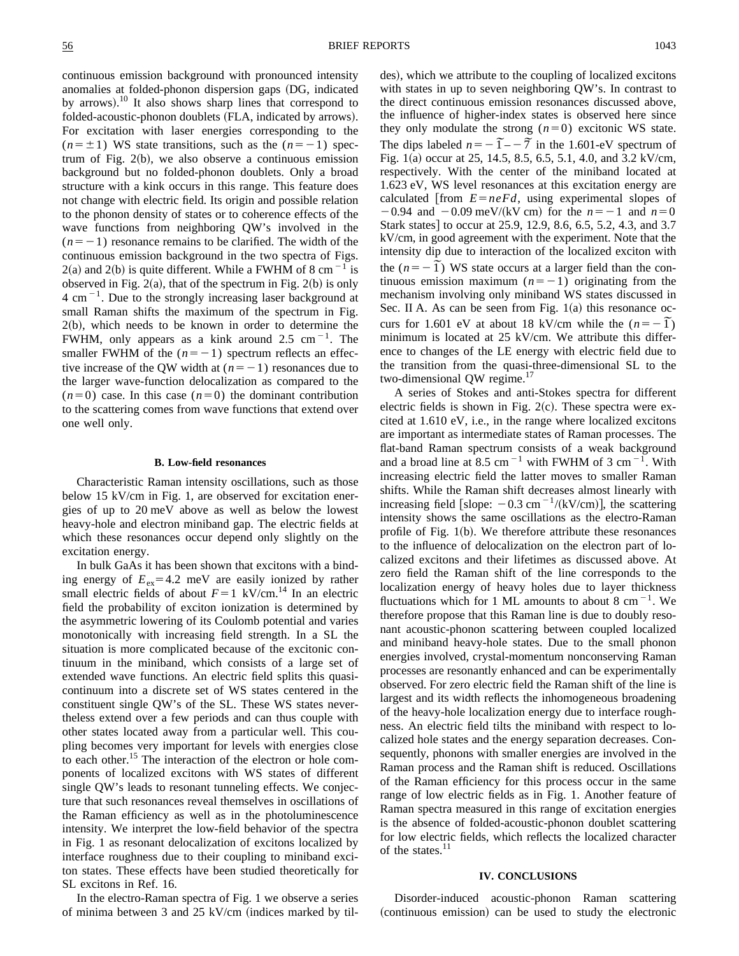continuous emission background with pronounced intensity anomalies at folded-phonon dispersion gaps (DG, indicated by arrows).<sup>10</sup> It also shows sharp lines that correspond to folded-acoustic-phonon doublets (FLA, indicated by arrows). For excitation with laser energies corresponding to the  $(n=\pm 1)$  WS state transitions, such as the  $(n=-1)$  spectrum of Fig.  $2(b)$ , we also observe a continuous emission background but no folded-phonon doublets. Only a broad structure with a kink occurs in this range. This feature does not change with electric field. Its origin and possible relation to the phonon density of states or to coherence effects of the wave functions from neighboring QW's involved in the  $(n=-1)$  resonance remains to be clarified. The width of the continuous emission background in the two spectra of Figs.  $2(a)$  and  $2(b)$  is quite different. While a FWHM of 8 cm<sup>-1</sup> is observed in Fig.  $2(a)$ , that of the spectrum in Fig.  $2(b)$  is only  $4 \text{ cm}^{-1}$ . Due to the strongly increasing laser background at small Raman shifts the maximum of the spectrum in Fig.  $2(b)$ , which needs to be known in order to determine the FWHM, only appears as a kink around 2.5 cm<sup> $-1$ </sup>. The smaller FWHM of the  $(n=-1)$  spectrum reflects an effective increase of the QW width at  $(n=-1)$  resonances due to the larger wave-function delocalization as compared to the  $(n=0)$  case. In this case  $(n=0)$  the dominant contribution to the scattering comes from wave functions that extend over one well only.

### **B. Low-field resonances**

Characteristic Raman intensity oscillations, such as those below 15 kV/cm in Fig. 1, are observed for excitation energies of up to 20 meV above as well as below the lowest heavy-hole and electron miniband gap. The electric fields at which these resonances occur depend only slightly on the excitation energy.

In bulk GaAs it has been shown that excitons with a binding energy of  $E_{ex}$ =4.2 meV are easily ionized by rather small electric fields of about  $F=1$  kV/cm.<sup>14</sup> In an electric field the probability of exciton ionization is determined by the asymmetric lowering of its Coulomb potential and varies monotonically with increasing field strength. In a SL the situation is more complicated because of the excitonic continuum in the miniband, which consists of a large set of extended wave functions. An electric field splits this quasicontinuum into a discrete set of WS states centered in the constituent single QW's of the SL. These WS states nevertheless extend over a few periods and can thus couple with other states located away from a particular well. This coupling becomes very important for levels with energies close to each other.<sup>15</sup> The interaction of the electron or hole components of localized excitons with WS states of different single QW's leads to resonant tunneling effects. We conjecture that such resonances reveal themselves in oscillations of the Raman efficiency as well as in the photoluminescence intensity. We interpret the low-field behavior of the spectra in Fig. 1 as resonant delocalization of excitons localized by interface roughness due to their coupling to miniband exciton states. These effects have been studied theoretically for SL excitons in Ref. 16.

In the electro-Raman spectra of Fig. 1 we observe a series of minima between 3 and 25 kV/cm (indices marked by tildes), which we attribute to the coupling of localized excitons with states in up to seven neighboring QW's. In contrast to the direct continuous emission resonances discussed above, the influence of higher-index states is observed here since they only modulate the strong  $(n=0)$  excitonic WS state. The dips labeled  $n = -\overline{1} - 7$  in the 1.601-eV spectrum of Fig.  $1(a)$  occur at 25, 14.5, 8.5, 6.5, 5.1, 4.0, and 3.2 kV/cm, respectively. With the center of the miniband located at 1.623 eV, WS level resonances at this excitation energy are calculated  $\lim_{n \to \infty} E = n e F d$ , using experimental slopes of  $-0.94$  and  $-0.09$  meV/(kV cm) for the  $n=-1$  and  $n=0$ Stark states] to occur at 25.9, 12.9, 8.6, 6.5, 5.2, 4.3, and 3.7 kV/cm, in good agreement with the experiment. Note that the intensity dip due to interaction of the localized exciton with thensity dip due to interaction of the localized exciton with<br>the  $(n = -\tilde{1})$  WS state occurs at a larger field than the continuous emission maximum  $(n=-1)$  originating from the mechanism involving only miniband WS states discussed in Sec. II A. As can be seen from Fig.  $1(a)$  this resonance ocsec. if A. As can be seen from Fig.  $f(a)$  this resonance oc-<br>curs for 1.601 eV at about 18 kV/cm while the  $(n = -1)$ minimum is located at 25 kV/cm. We attribute this difference to changes of the LE energy with electric field due to the transition from the quasi-three-dimensional SL to the two-dimensional QW regime.<sup>17</sup>

A series of Stokes and anti-Stokes spectra for different electric fields is shown in Fig.  $2(c)$ . These spectra were excited at 1.610 eV, i.e., in the range where localized excitons are important as intermediate states of Raman processes. The flat-band Raman spectrum consists of a weak background and a broad line at 8.5 cm<sup> $-1$ </sup> with FWHM of 3 cm<sup> $-1$ </sup>. With increasing electric field the latter moves to smaller Raman shifts. While the Raman shift decreases almost linearly with increasing field [slope:  $-0.3$  cm  $^{-1}/(kV/cm)$ ], the scattering intensity shows the same oscillations as the electro-Raman profile of Fig.  $1(b)$ . We therefore attribute these resonances to the influence of delocalization on the electron part of localized excitons and their lifetimes as discussed above. At zero field the Raman shift of the line corresponds to the localization energy of heavy holes due to layer thickness fluctuations which for 1 ML amounts to about 8 cm<sup> $-1$ </sup>. We therefore propose that this Raman line is due to doubly resonant acoustic-phonon scattering between coupled localized and miniband heavy-hole states. Due to the small phonon energies involved, crystal-momentum nonconserving Raman processes are resonantly enhanced and can be experimentally observed. For zero electric field the Raman shift of the line is largest and its width reflects the inhomogeneous broadening of the heavy-hole localization energy due to interface roughness. An electric field tilts the miniband with respect to localized hole states and the energy separation decreases. Consequently, phonons with smaller energies are involved in the Raman process and the Raman shift is reduced. Oscillations of the Raman efficiency for this process occur in the same range of low electric fields as in Fig. 1. Another feature of Raman spectra measured in this range of excitation energies is the absence of folded-acoustic-phonon doublet scattering for low electric fields, which reflects the localized character of the states.<sup>11</sup>

# **IV. CONCLUSIONS**

Disorder-induced acoustic-phonon Raman scattering (continuous emission) can be used to study the electronic